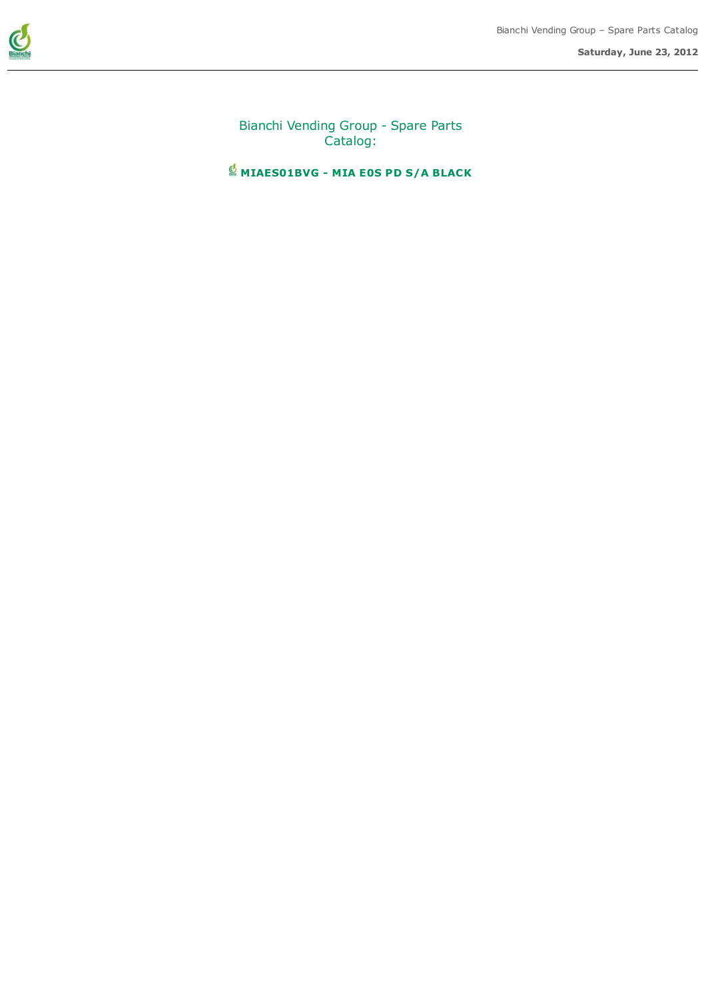

Bianchi Vending Group - Spare Parts Catalog:

 $\stackrel{\text{\tiny{d}}}{\cong}$  MIAES01BVG - MIA E0S PD S/A BLACK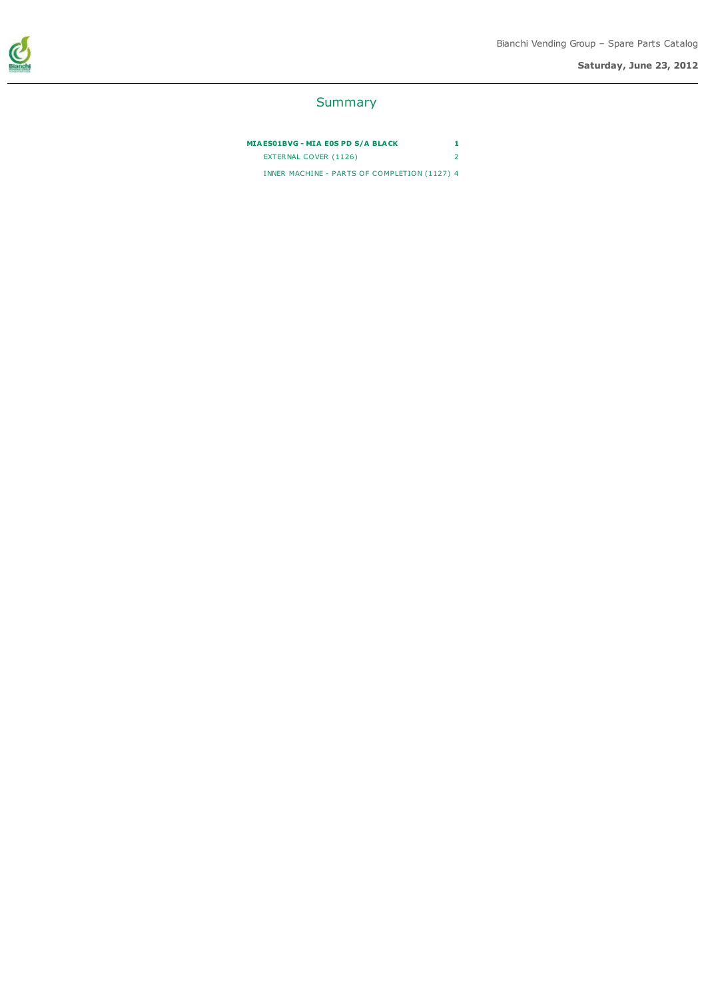Saturday, June 23, 2012



#### Summary

MIAES01BVG - MIA E0S PD S/A BLACK 1 EXTERNAL COVER (1126) 2 INNER MACHINE - PARTS OF COMPLETION (1127) 4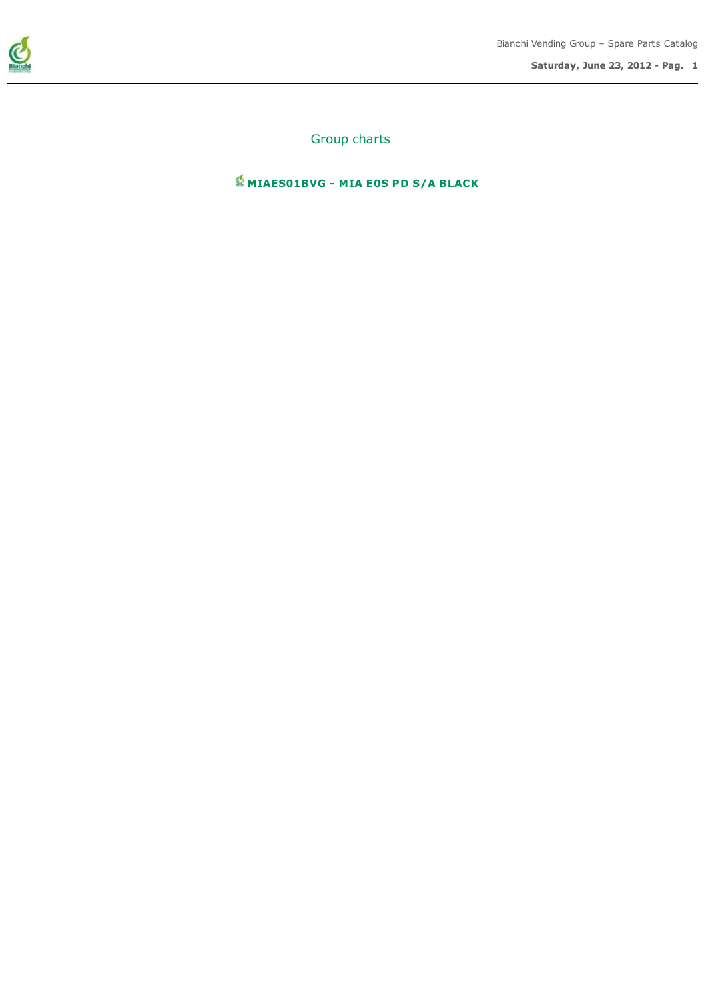

Saturday, June 23, 2012 - Pag. 1

Group charts

 $\stackrel{\bullet}{\cong}$  MIAES01BVG - MIA E0S PD S/A BLACK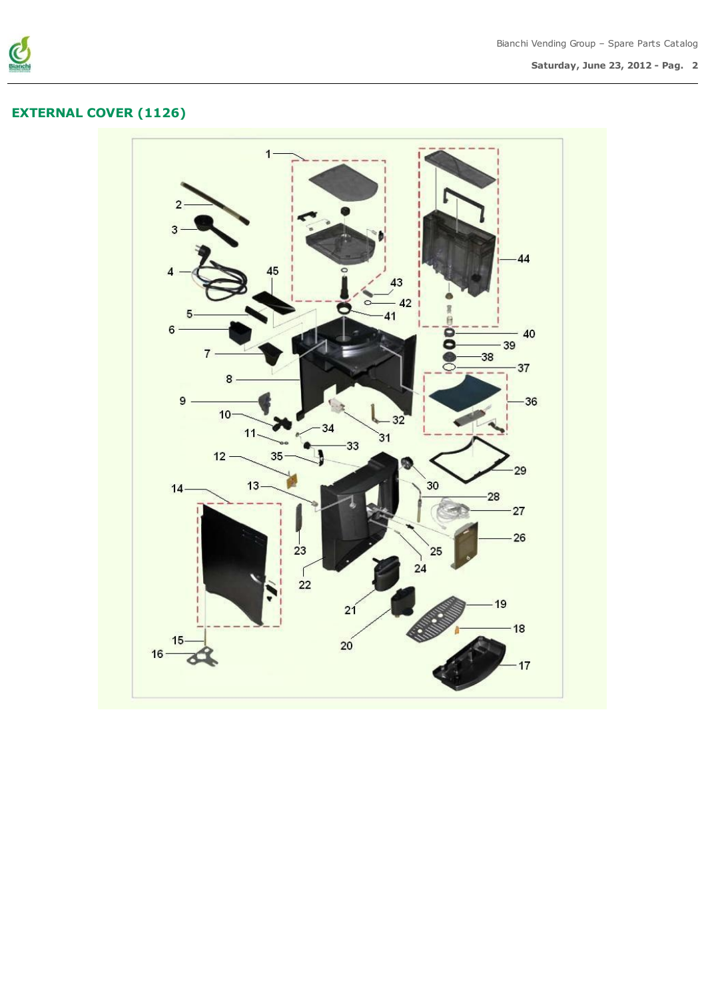

# EXTERNAL COVER (1126)

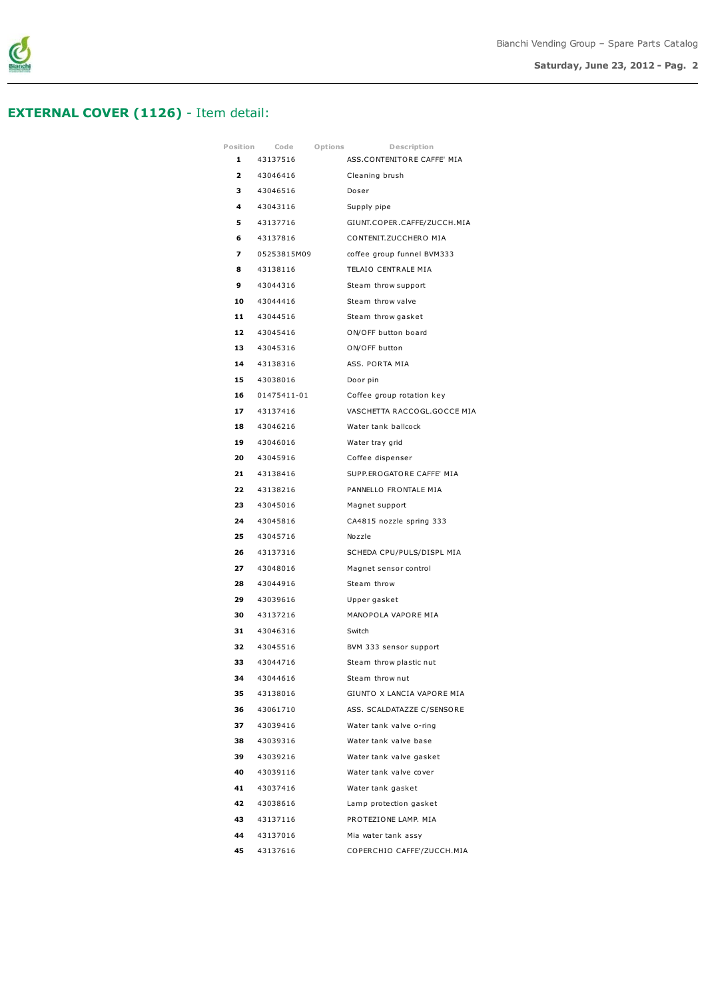

### EXTERNAL COVER (1126) - Item detail:

| Position | Code        | Options | Description                 |
|----------|-------------|---------|-----------------------------|
| 1        | 43137516    |         | ASS.CONTENITORE CAFFE' MIA  |
| 2        | 43046416    |         | Cleaning brush              |
| 3        | 43046516    |         | Doser                       |
| 4        | 43043116    |         | Supply pipe                 |
| 5        | 43137716    |         | GIUNT.COPER.CAFFE/ZUCCH.MIA |
| 6        | 43137816    |         | CONTENIT.ZUCCHERO MIA       |
| 7        | 05253815M09 |         | coffee group funnel BVM333  |
| 8        | 43138116    |         | TELAIO CENTRALE MIA         |
| 9        | 43044316    |         | Steam throw support         |
| 10       | 43044416    |         | Steam throw valve           |
|          | 11 43044516 |         | Steam throw gasket          |
| 12       | 43045416    |         | ON/OFF button board         |
| 13       | 43045316    |         | ON/OFF button               |
| 14       | 43138316    |         | ASS. PORTA MIA              |
| 15       | 43038016    |         | Door pin                    |
| 16       | 01475411-01 |         | Coffee group rotation key   |
| 17       | 43137416    |         | VASCHETTA RACCOGL.GOCCE MIA |
| 18       | 43046216    |         | Water tank ballcock         |
| 19       | 43046016    |         | Water tray grid             |
| 20       | 43045916    |         | Coffee dispenser            |
|          | 21 43138416 |         | SUPP.EROGATORE CAFFE' MIA   |
| 22       | 43138216    |         | PANNELLO FRONTALE MIA       |
| 23       | 43045016    |         | Magnet support              |
| 24       | 43045816    |         | CA4815 nozzle spring 333    |
| 25       | 43045716    |         | Nozzle                      |
| 26       | 43137316    |         | SCHEDA CPU/PULS/DISPL MIA   |
| 27       | 43048016    |         | Magnet sensor control       |
| 28       | 43044916    |         | Steam throw                 |
| 29       | 43039616    |         | Upper gasket                |
|          | 30 43137216 |         | MANOPOLA VAPORE MIA         |
| 31       | 43046316    |         | Switch                      |
| 32       | 43045516    |         | BVM 333 sensor support      |
| 33       | 43044716    |         | Steam throw plastic nut     |
| 34       | 43044616    |         | Steam throw nut             |
| 35       | 43138016    |         | GIUNTO X LANCIA VAPORE MIA  |
| 36       | 43061710    |         | ASS. SCALDATAZZE C/SENSORE  |
| 37       | 43039416    |         | Water tank valve o-ring     |
| 38       | 43039316    |         | Water tank valve base       |
| 39       | 43039216    |         | Water tank valve gasket     |
| 40       | 43039116    |         | Water tank valve cover      |
| 41       | 43037416    |         | Water tank gasket           |
| 42       | 43038616    |         | Lamp protection gasket      |
| 43       | 43137116    |         | PROTEZIONE LAMP. MIA        |
| 44       | 43137016    |         | Mia water tank assy         |
| 45       | 43137616    |         | COPERCHIO CAFFE'/ZUCCH.MIA  |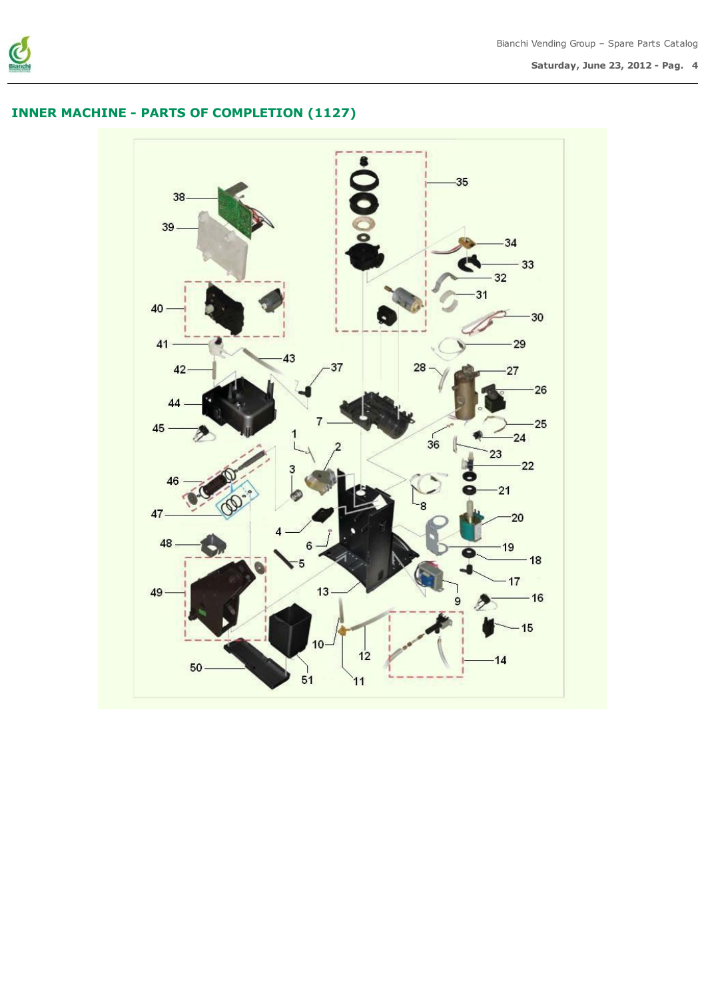

Saturday, June 23, 2012 - Pag. 4

## INNER MACHINE - PARTS OF COMPLETION (1127)